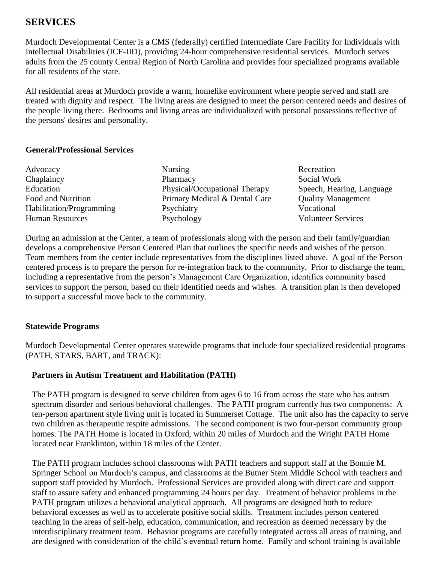# **SERVICES**

Murdoch Developmental Center is a CMS (federally) certified Intermediate Care Facility for Individuals with Intellectual Disabilities (ICF-IID), providing 24-hour comprehensive residential services. Murdoch serves adults from the 25 county Central Region of North Carolina and provides four specialized programs available for all residents of the state.

All residential areas at Murdoch provide a warm, homelike environment where people served and staff are treated with dignity and respect. The living areas are designed to meet the person centered needs and desires of the people living there. Bedrooms and living areas are individualized with personal possessions reflective of the persons' desires and personality.

#### **General/Professional Services**

| Advocacy                 | <b>Nursing</b>                | Recreation                |
|--------------------------|-------------------------------|---------------------------|
| Chaplaincy               | Pharmacy                      | Social Work               |
| Education                | Physical/Occupational Therapy | Speech, Hearing, Language |
| Food and Nutrition       | Primary Medical & Dental Care | <b>Quality Management</b> |
| Habilitation/Programming | Psychiatry                    | Vocational                |
| <b>Human Resources</b>   | Psychology                    | <b>Volunteer Services</b> |

During an admission at the Center, a team of professionals along with the person and their family/guardian develops a comprehensive Person Centered Plan that outlines the specific needs and wishes of the person. Team members from the center include representatives from the disciplines listed above. A goal of the Person centered process is to prepare the person for re-integration back to the community. Prior to discharge the team, including a representative from the person's Management Care Organization, identifies community based services to support the person, based on their identified needs and wishes. A transition plan is then developed to support a successful move back to the community.

#### **Statewide Programs**

Murdoch Developmental Center operates statewide programs that include four specialized residential programs (PATH, STARS, BART, and TRACK):

#### **Partners in Autism Treatment and Habilitation (PATH)**

The PATH program is designed to serve children from ages 6 to 16 from across the state who has autism spectrum disorder and serious behavioral challenges. The PATH program currently has two components: A ten-person apartment style living unit is located in Summerset Cottage. The unit also has the capacity to serve two children as therapeutic respite admissions. The second component is two four-person community group homes. The PATH Home is located in Oxford, within 20 miles of Murdoch and the Wright PATH Home located near Franklinton, within 18 miles of the Center.

The PATH program includes school classrooms with PATH teachers and support staff at the Bonnie M. Springer School on Murdoch's campus, and classrooms at the Butner Stem Middle School with teachers and support staff provided by Murdoch. Professional Services are provided along with direct care and support staff to assure safety and enhanced programming 24 hours per day. Treatment of behavior problems in the PATH program utilizes a behavioral analytical approach. All programs are designed both to reduce behavioral excesses as well as to accelerate positive social skills. Treatment includes person centered teaching in the areas of self-help, education, communication, and recreation as deemed necessary by the interdisciplinary treatment team. Behavior programs are carefully integrated across all areas of training, and are designed with consideration of the child's eventual return home. Family and school training is available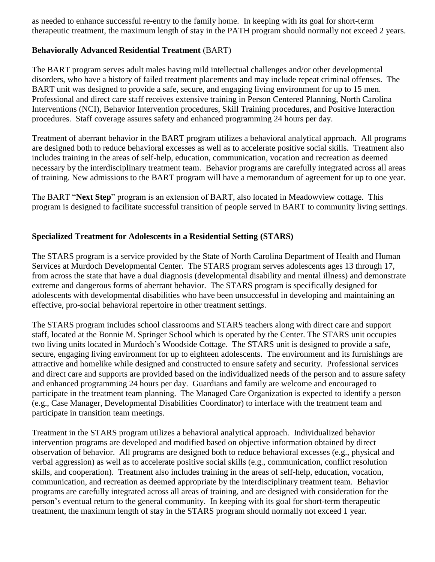as needed to enhance successful re-entry to the family home. In keeping with its goal for short-term therapeutic treatment, the maximum length of stay in the PATH program should normally not exceed 2 years.

### **Behaviorally Advanced Residential Treatment** (BART)

The BART program serves adult males having mild intellectual challenges and/or other developmental disorders, who have a history of failed treatment placements and may include repeat criminal offenses. The BART unit was designed to provide a safe, secure, and engaging living environment for up to 15 men. Professional and direct care staff receives extensive training in Person Centered Planning, North Carolina Interventions (NCI), Behavior Intervention procedures, Skill Training procedures, and Positive Interaction procedures. Staff coverage assures safety and enhanced programming 24 hours per day.

Treatment of aberrant behavior in the BART program utilizes a behavioral analytical approach. All programs are designed both to reduce behavioral excesses as well as to accelerate positive social skills. Treatment also includes training in the areas of self-help, education, communication, vocation and recreation as deemed necessary by the interdisciplinary treatment team. Behavior programs are carefully integrated across all areas of training. New admissions to the BART program will have a memorandum of agreement for up to one year.

The BART "**Next Step**" program is an extension of BART, also located in Meadowview cottage. This program is designed to facilitate successful transition of people served in BART to community living settings.

## **Specialized Treatment for Adolescents in a Residential Setting (STARS)**

The STARS program is a service provided by the State of North Carolina Department of Health and Human Services at Murdoch Developmental Center. The STARS program serves adolescents ages 13 through 17, from across the state that have a dual diagnosis (developmental disability and mental illness) and demonstrate extreme and dangerous forms of aberrant behavior. The STARS program is specifically designed for adolescents with developmental disabilities who have been unsuccessful in developing and maintaining an effective, pro-social behavioral repertoire in other treatment settings.

The STARS program includes school classrooms and STARS teachers along with direct care and support staff, located at the Bonnie M. Springer School which is operated by the Center. The STARS unit occupies two living units located in Murdoch's Woodside Cottage. The STARS unit is designed to provide a safe, secure, engaging living environment for up to eighteen adolescents. The environment and its furnishings are attractive and homelike while designed and constructed to ensure safety and security. Professional services and direct care and supports are provided based on the individualized needs of the person and to assure safety and enhanced programming 24 hours per day. Guardians and family are welcome and encouraged to participate in the treatment team planning. The Managed Care Organization is expected to identify a person (e.g., Case Manager, Developmental Disabilities Coordinator) to interface with the treatment team and participate in transition team meetings.

Treatment in the STARS program utilizes a behavioral analytical approach. Individualized behavior intervention programs are developed and modified based on objective information obtained by direct observation of behavior. All programs are designed both to reduce behavioral excesses (e.g., physical and verbal aggression) as well as to accelerate positive social skills (e.g., communication, conflict resolution skills, and cooperation). Treatment also includes training in the areas of self-help, education, vocation, communication, and recreation as deemed appropriate by the interdisciplinary treatment team. Behavior programs are carefully integrated across all areas of training, and are designed with consideration for the person's eventual return to the general community. In keeping with its goal for short-term therapeutic treatment, the maximum length of stay in the STARS program should normally not exceed 1 year.